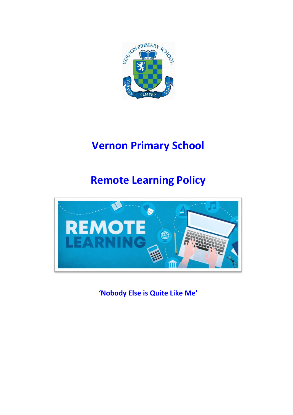

# **Vernon Primary School**

# **Remote Learning Policy**



**'Nobody Else is Quite Like Me'**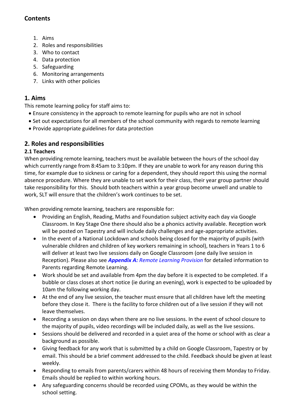# **Contents**

- 1. Aims
- 2. Roles and responsibilities
- 3. Who to contact
- 4. Data protection
- 5. Safeguarding
- 6. Monitoring arrangements
- 7. Links with other policies

# **1. Aims**

This remote learning policy for staff aims to:

- Ensure consistency in the approach to remote learning for pupils who are not in school
- Set out expectations for all members of the school community with regards to remote learning
- Provide appropriate guidelines for data protection

# **2. Roles and responsibilities**

# **2.1 Teachers**

When providing remote learning, teachers must be available between the hours of the school day which currently range from 8:45am to 3:10pm. If they are unable to work for any reason during this time, for example due to sickness or caring for a dependent, they should report this using the normal absence procedure. Where they are unable to set work for their class, their year group partner should take responsibility for this. Should both teachers within a year group become unwell and unable to work, SLT will ensure that the children's work continues to be set.

When providing remote learning, teachers are responsible for:

- Providing an English, Reading, Maths and Foundation subject activity each day via Google Classroom. In Key Stage One there should also be a phonics activity available. Reception work will be posted on Tapestry and will include daily challenges and age-appropriate activities.
- In the event of a National Lockdown and schools being closed for the majority of pupils (with vulnerable children and children of key workers remaining in school), teachers in Years 1 to 6 will deliver at least two live sessions daily on Google Classroom (one daily live session in Reception). Please also see *Appendix A: Remote Learning Provision* for detailed information to Parents regarding Remote Learning.
- Work should be set and available from 4pm the day before it is expected to be completed. If a bubble or class closes at short notice (ie during an evening), work is expected to be uploaded by 10am the following working day.
- At the end of any live session, the teacher must ensure that all children have left the meeting before they close it. There is the facility to force children out of a live session if they will not leave themselves.
- Recording a session on days when there are no live sessions. In the event of school closure to the majority of pupils, video recordings will be included daily, as well as the live sessions.
- Sessions should be delivered and recorded in a quiet area of the home or school with as clear a background as possible.
- Giving feedback for any work that is submitted by a child on Google Classroom, Tapestry or by email. This should be a brief comment addressed to the child. Feedback should be given at least weekly.
- Responding to emails from parents/carers within 48 hours of receiving them Monday to Friday. Emails should be replied to within working hours.
- Any safeguarding concerns should be recorded using CPOMs, as they would be within the school setting.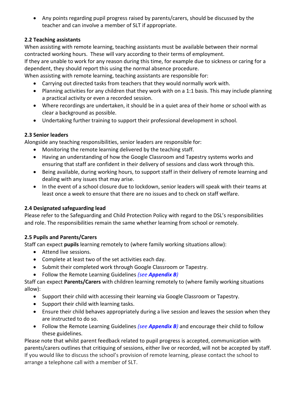Any points regarding pupil progress raised by parents/carers, should be discussed by the teacher and can involve a member of SLT if appropriate.

# **2.2 Teaching assistants**

When assisting with remote learning, teaching assistants must be available between their normal contracted working hours. These will vary according to their terms of employment.

If they are unable to work for any reason during this time, for example due to sickness or caring for a dependent, they should report this using the normal absence procedure.

When assisting with remote learning, teaching assistants are responsible for:

- Carrying out directed tasks from teachers that they would normally work with.
- Planning activities for any children that they work with on a 1:1 basis. This may include planning a practical activity or even a recorded session.
- Where recordings are undertaken, it should be in a quiet area of their home or school with as clear a background as possible.
- Undertaking further training to support their professional development in school.

# **2.3 Senior leaders**

Alongside any teaching responsibilities, senior leaders are responsible for:

- Monitoring the remote learning delivered by the teaching staff.
- Having an understanding of how the Google Classroom and Tapestry systems works and ensuring that staff are confident in their delivery of sessions and class work through this.
- Being available, during working hours, to support staff in their delivery of remote learning and dealing with any issues that may arise.
- In the event of a school closure due to lockdown, senior leaders will speak with their teams at least once a week to ensure that there are no issues and to check on staff welfare.

## **2.4 Designated safeguarding lead**

Please refer to the Safeguarding and Child Protection Policy with regard to the DSL's responsibilities and role. The responsibilities remain the same whether learning from school or remotely.

## **2.5 Pupils and Parents/Carers**

Staff can expect **pupils** learning remotely to (where family working situations allow):

- Attend live sessions.
- Complete at least two of the set activities each day.
- Submit their completed work through Google Classroom or Tapestry.
- Follow the Remote Learning Guidelines *(see Appendix B)*

Staff can expect **Parents/Carers** with children learning remotely to (where family working situations allow):

- Support their child with accessing their learning via Google Classroom or Tapestry.
- Support their child with learning tasks.
- Ensure their child behaves appropriately during a live session and leaves the session when they are instructed to do so.
- Follow the Remote Learning Guidelines *(see Appendix B)* and encourage their child to follow these guidelines.

Please note that whilst parent feedback related to pupil progress is accepted, communication with parents/carers outlines that critiquing of sessions, either live or recorded, will not be accepted by staff. If you would like to discuss the school's provision of remote learning, please contact the school to arrange a telephone call with a member of SLT.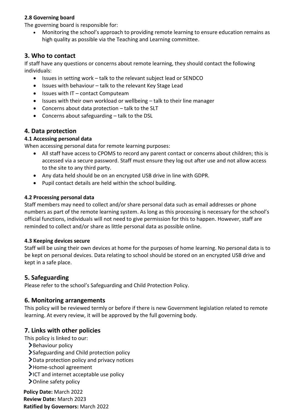#### **2.8 Governing board**

The governing board is responsible for:

 Monitoring the school's approach to providing remote learning to ensure education remains as high quality as possible via the Teaching and Learning committee.

# **3. Who to contact**

If staff have any questions or concerns about remote learning, they should contact the following individuals:

- Issues in setting work talk to the relevant subject lead or SENDCO
- Issues with behaviour talk to the relevant Key Stage Lead
- $\bullet$  Issues with IT contact Computeam
- Issues with their own workload or wellbeing talk to their line manager
- Concerns about data protection talk to the SLT
- Concerns about safeguarding talk to the DSL

## **4. Data protection**

#### **4.1 Accessing personal data**

When accessing personal data for remote learning purposes:

- All staff have access to CPOMS to record any parent contact or concerns about children; this is accessed via a secure password. Staff must ensure they log out after use and not allow access to the site to any third party.
- Any data held should be on an encrypted USB drive in line with GDPR.
- Pupil contact details are held within the school building.

#### **4.2 Processing personal data**

Staff members may need to collect and/or share personal data such as email addresses or phone numbers as part of the remote learning system. As long as this processing is necessary for the school's official functions, individuals will not need to give permission for this to happen. However, staff are reminded to collect and/or share as little personal data as possible online.

#### **4.3 Keeping devices secure**

Staff will be using their own devices at home for the purposes of home learning. No personal data is to be kept on personal devices. Data relating to school should be stored on an encrypted USB drive and kept in a safe place.

## **5. Safeguarding**

Please refer to the school's Safeguarding and Child Protection Policy.

## **6. Monitoring arrangements**

This policy will be reviewed termly or before if there is new Government legislation related to remote learning. At every review, it will be approved by the full governing body.

## **7. Links with other policies**

This policy is linked to our:

- $\blacktriangleright$  Behaviour policy
- Safeguarding and Child protection policy
- Data protection policy and privacy notices
- Home-school agreement
- $\blacktriangleright$  ICT and internet acceptable use policy
- > Online safety policy

**Policy Date:** March 2022 **Review Date:** March 2023 **Ratified by Governors:** March 2022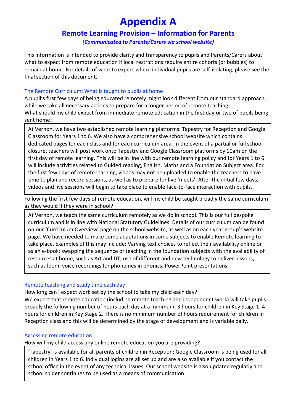# **Appendix A**

# **Remote Learning Provision – Information for Parents**

*(Communicated to Parents/Carers via school website)*

This information is intended to provide clarity and transparency to pupils and Parents/Carers about what to expect from remote education if local restrictions require entire cohorts (or bubbles) to remain at home. For details of what to expect where individual pupils are self-isolating, please see the final section of this document.

#### The Remote Curriculum: What is taught to pupils at home

A pupil's first few days of being educated remotely might look different from our standard approach, while we take all necessary actions to prepare for a longer period of remote teaching. What should my child expect from immediate remote education in the first day or two of pupils being sent home?

At Vernon, we have two established remote learning platforms: Tapestry for Reception and Google Classroom for Years 1 to 6. We also have a comprehensive school website which contains dedicated pages for each class and for each curriculum area. In the event of a partial or full school closure, teachers will post work onto Tapestry and Google Classroom platforms by 10am on the first day of remote learning. This will be in line with our remote learning policy and for Years 1 to 6 will include activities related to Guided reading, English, Maths and a Foundation Subject area. For the first few days of remote learning, videos may not be uploaded to enable the teachers to have time to plan and record sessions, as well as to prepare for live 'meets'. After the initial few days, videos and live sessions will begin to take place to enable face-to-face interaction with pupils.

Following the first few days of remote education, will my child be taught broadly the same curriculum as they would if they were in school?

At Vernon, we teach the same curriculum remotely as we do in school. This is our full bespoke curriculum and is in line with National Statutory Guidelines. Details of our curriculum can be found on our 'Curriculum Overview' page on the school website, as well as on each year group's website page. We have needed to make some adaptations in some subjects to enable Remote learning to take place. Examples of this may include: Varying text choices to reflect their availability online or as an e-book; swapping the sequence of teaching in the foundation subjects with the availability of resources at home, such as Art and DT; use of different and new technology to deliver lessons, such as loom, voice recordings for phonemes in phonics, PowerPoint presentations.

#### Remote teaching and study time each day

How long can I expect work set by the school to take my child each day? We expect that remote education (including remote teaching and independent work) will take pupils broadly the following number of hours each day at a minimum: 3 hours for children in Key Stage 1; 4

hours for children in Key Stage 2. There is no minimum number of hours requirement for children in Reception class and this will be determined by the stage of development and is variable daily.

#### Accessing remote education

How will my child access any online remote education you are providing?

'Tapestry' is available for all parents of children in Reception; Google Classroom is being used for all children in Years 1 to 6. Individual logins are all set up and are also available if you contact the school office in the event of any technical issues. Our school website is also updated regularly and school spider continues to be used as a means of communication.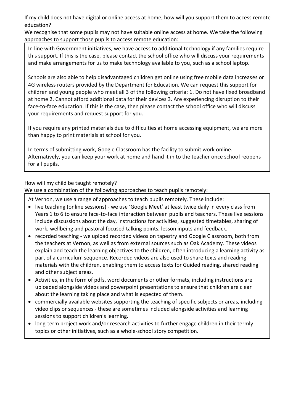If my child does not have digital or online access at home, how will you support them to access remote education?

We recognise that some pupils may not have suitable online access at home. We take the following approaches to support those pupils to access remote education:

In line with Government initiatives, we have access to additional technology if any families require this support. If this is the case, please contact the school office who will discuss your requirements and make arrangements for us to make technology available to you, such as a school laptop.

Schools are also able to help disadvantaged children get online using free mobile data increases or 4G wireless routers provided by the Department for Education. We can request this support for children and young people who meet all 3 of the following criteria: 1. Do not have fixed broadband at home 2. Cannot afford additional data for their devices 3. Are experiencing disruption to their face-to-face education. If this is the case, then please contact the school office who will discuss your requirements and request support for you.

If you require any printed materials due to difficulties at home accessing equipment, we are more than happy to print materials at school for you.

In terms of submitting work, Google Classroom has the facility to submit work online. Alternatively, you can keep your work at home and hand it in to the teacher once school reopens for all pupils.

#### How will my child be taught remotely?

We use a combination of the following approaches to teach pupils remotely:

At Vernon, we use a range of approaches to teach pupils remotely. These include:

- live teaching (online sessions) we use 'Google Meet' at least twice daily in every class from Years 1 to 6 to ensure face-to-face interaction between pupils and teachers. These live sessions include discussions about the day, instructions for activities, suggested timetables, sharing of work, wellbeing and pastoral focused talking points, lesson inputs and feedback.
- recorded teaching we upload recorded videos on tapestry and Google Classroom, both from the teachers at Vernon, as well as from external sources such as Oak Academy. These videos explain and teach the learning objectives to the children, often introducing a learning activity as part of a curriculum sequence. Recorded videos are also used to share texts and reading materials with the children, enabling them to access texts for Guided reading, shared reading and other subject areas.
- Activities, in the form of pdfs, word documents or other formats, including instructions are uploaded alongside videos and powerpoint presentations to ensure that children are clear about the learning taking place and what is expected of them.
- commercially available websites supporting the teaching of specific subjects or areas, including video clips or sequences - these are sometimes included alongside activities and learning sessions to support children's learning.
- long-term project work and/or research activities to further engage children in their termly topics or other initiatives, such as a whole-school story competition.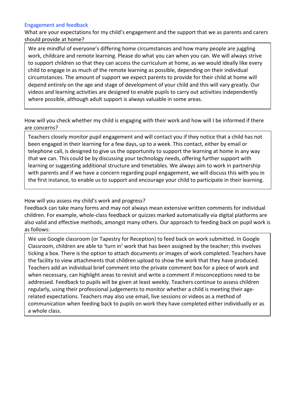#### Engagement and feedback

What are your expectations for my child's engagement and the support that we as parents and carers should provide at home?

We are mindful of everyone's differing home circumstances and how many people are juggling work, childcare and remote learning. Please do what you can when you can. We will always strive to support children so that they can access the curriculum at home, as we would ideally like every child to engage in as much of the remote learning as possible, depending on their individual circumstances. The amount of support we expect parents to provide for their child at home will depend entirely on the age and stage of development of your child and this will vary greatly. Our videos and learning activities are designed to enable pupils to carry out activities independently where possible, although adult support is always valuable in some areas.

How will you check whether my child is engaging with their work and how will I be informed if there are concerns?

Teachers closely monitor pupil engagement and will contact you if they notice that a child has not been engaged in their learning for a few days, up to a week. This contact, either by email or telephone call, is designed to give us the opportunity to support the learning at home in any way that we can. This could be by discussing your technology needs, offering further support with learning or suggesting additional structure and timetables. We always aim to work in partnership with parents and if we have a concern regarding pupil engagement, we will discuss this with you in the first instance, to enable us to support and encourage your child to participate in their learning.

#### How will you assess my child's work and progress?

Feedback can take many forms and may not always mean extensive written comments for individual children. For example, whole-class feedback or quizzes marked automatically via digital platforms are also valid and effective methods, amongst many others. Our approach to feeding back on pupil work is as follows:

We use Google classroom (or Tapestry for Reception) to feed back on work submitted. In Google Classroom, children are able to 'turn in' work that has been assigned by the teacher; this involves ticking a box. There is the option to attach documents or images of work completed. Teachers have the facility to view attachments that children upload to show the work that they have produced. Teachers add an individual brief comment into the private comment box for a piece of work and when necessary, can highlight areas to revisit and write a comment if misconceptions need to be addressed. Feedback to pupils will be given at least weekly. Teachers continue to assess children regularly, using their professional judgements to monitor whether a child is meeting their agerelated expectations. Teachers may also use email, live sessions or videos as a method of communication when feeding back to pupils on work they have completed either individually or as a whole class.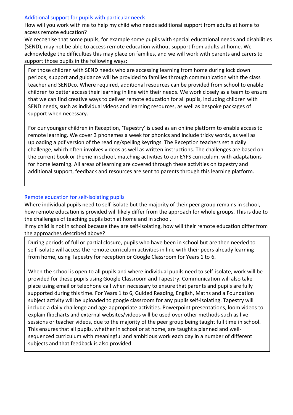#### Additional support for pupils with particular needs

How will you work with me to help my child who needs additional support from adults at home to access remote education?

We recognise that some pupils, for example some pupils with special educational needs and disabilities (SEND), may not be able to access remote education without support from adults at home. We acknowledge the difficulties this may place on families, and we will work with parents and carers to support those pupils in the following ways:

For those children with SEND needs who are accessing learning from home during lock down periods, support and guidance will be provided to families through communication with the class teacher and SENDco. Where required, additional resources can be provided from school to enable children to better access their learning in line with their needs. We work closely as a team to ensure that we can find creative ways to deliver remote education for all pupils, including children with SEND needs, such as individual videos and learning resources, as well as bespoke packages of support when necessary.

For our younger children in Reception, 'Tapestry' is used as an online platform to enable access to remote learning. We cover 3 phonemes a week for phonics and include tricky words, as well as uploading a pdf version of the reading/spelling keyrings. The Reception teachers set a daily challenge, which often involves videos as well as written instructions. The challenges are based on the current book or theme in school, matching activities to our EYFS curriculum, with adaptations for home learning. All areas of learning are covered through these activities on tapestry and additional support, feedback and resources are sent to parents through this learning platform.

#### Remote education for self-isolating pupils

Where individual pupils need to self-isolate but the majority of their peer group remains in school, how remote education is provided will likely differ from the approach for whole groups. This is due to the challenges of teaching pupils both at home and in school.

If my child is not in school because they are self-isolating, how will their remote education differ from the approaches described above?

During periods of full or partial closure, pupils who have been in school but are then needed to self-isolate will access the remote curriculum activities in line with their peers already learning from home, using Tapestry for reception or Google Classroom for Years 1 to 6.

When the school is open to all pupils and where individual pupils need to self-isolate, work will be provided for these pupils using Google Classroom and Tapestry. Communication will also take place using email or telephone call when necessary to ensure that parents and pupils are fully supported during this time. For Years 1 to 6, Guided Reading, English, Maths and a Foundation subject activity will be uploaded to google classroom for any pupils self-isolating. Tapestry will include a daily challenge and age-appropriate activities. Powerpoint presentations, loom videos to explain flipcharts and external websites/videos will be used over other methods such as live sessions or teacher videos, due to the majority of the peer group being taught full time in school. This ensures that all pupils, whether in school or at home, are taught a planned and wellsequenced curriculum with meaningful and ambitious work each day in a number of different subjects and that feedback is also provided.